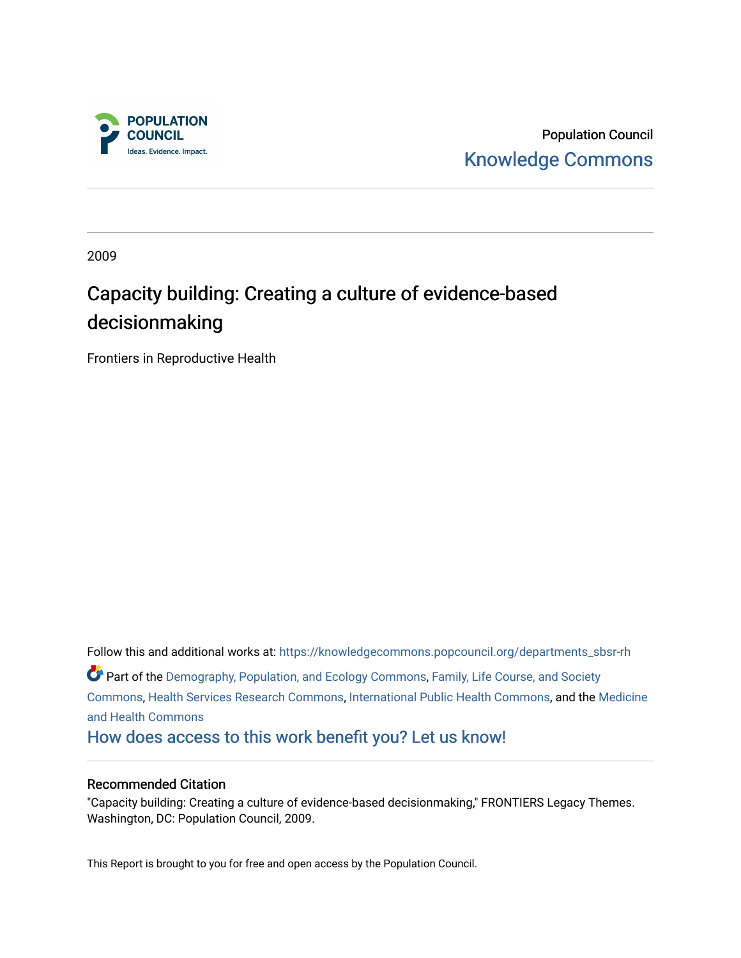

Population Council [Knowledge Commons](https://knowledgecommons.popcouncil.org/) 

2009

# Capacity building: Creating a culture of evidence-based decisionmaking

Frontiers in Reproductive Health

Follow this and additional works at: [https://knowledgecommons.popcouncil.org/departments\\_sbsr-rh](https://knowledgecommons.popcouncil.org/departments_sbsr-rh?utm_source=knowledgecommons.popcouncil.org%2Fdepartments_sbsr-rh%2F975&utm_medium=PDF&utm_campaign=PDFCoverPages)  Part of the [Demography, Population, and Ecology Commons,](https://network.bepress.com/hgg/discipline/418?utm_source=knowledgecommons.popcouncil.org%2Fdepartments_sbsr-rh%2F975&utm_medium=PDF&utm_campaign=PDFCoverPages) [Family, Life Course, and Society](https://network.bepress.com/hgg/discipline/419?utm_source=knowledgecommons.popcouncil.org%2Fdepartments_sbsr-rh%2F975&utm_medium=PDF&utm_campaign=PDFCoverPages)  [Commons](https://network.bepress.com/hgg/discipline/419?utm_source=knowledgecommons.popcouncil.org%2Fdepartments_sbsr-rh%2F975&utm_medium=PDF&utm_campaign=PDFCoverPages), [Health Services Research Commons](https://network.bepress.com/hgg/discipline/816?utm_source=knowledgecommons.popcouncil.org%2Fdepartments_sbsr-rh%2F975&utm_medium=PDF&utm_campaign=PDFCoverPages), [International Public Health Commons,](https://network.bepress.com/hgg/discipline/746?utm_source=knowledgecommons.popcouncil.org%2Fdepartments_sbsr-rh%2F975&utm_medium=PDF&utm_campaign=PDFCoverPages) and the [Medicine](https://network.bepress.com/hgg/discipline/422?utm_source=knowledgecommons.popcouncil.org%2Fdepartments_sbsr-rh%2F975&utm_medium=PDF&utm_campaign=PDFCoverPages) [and Health Commons](https://network.bepress.com/hgg/discipline/422?utm_source=knowledgecommons.popcouncil.org%2Fdepartments_sbsr-rh%2F975&utm_medium=PDF&utm_campaign=PDFCoverPages)  [How does access to this work benefit you? Let us know!](https://pcouncil.wufoo.com/forms/open-access-to-population-council-research/)

#### Recommended Citation

"Capacity building: Creating a culture of evidence-based decisionmaking," FRONTIERS Legacy Themes. Washington, DC: Population Council, 2009.

This Report is brought to you for free and open access by the Population Council.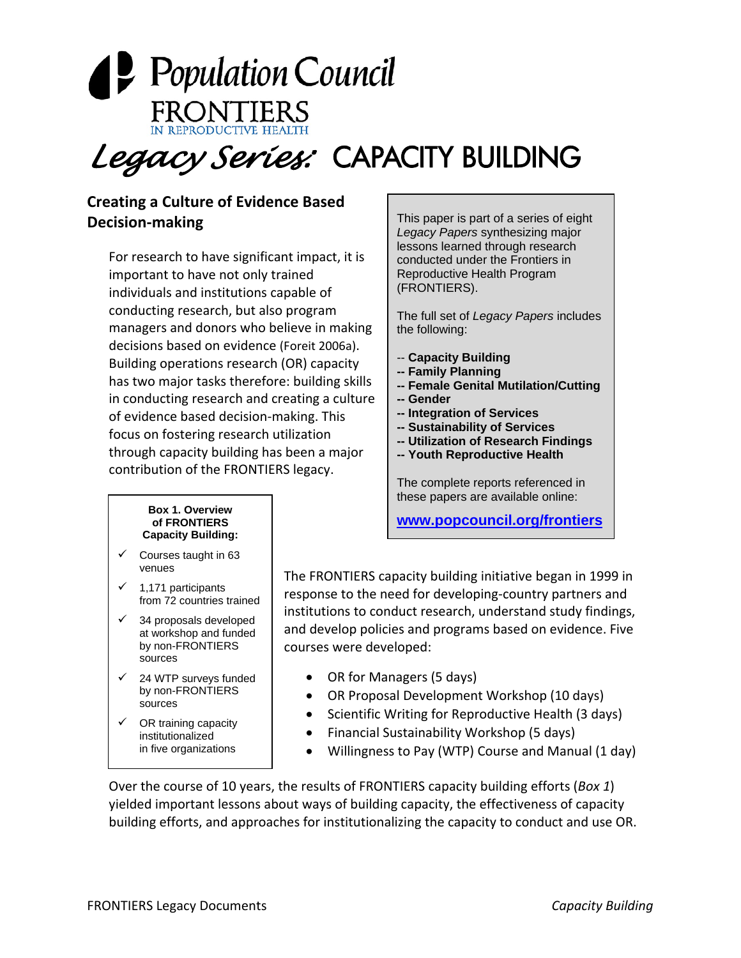

*Legacy Series:* CAPACITY BUILDING

### **Creating a Culture of Evidence Based Decision‐making**

For research to have significant impact, it is important to have not only trained individuals and institutions capable of conducting research, but also program managers and donors who believe in making decisions based on evidence (Foreit 2006a). Building operations research (OR) capacity has two major tasks therefore: building skills in conducting research and creating a culture of evidence based decision‐making. This focus on fostering research utilization through capacity building has been a major contribution of the FRONTIERS legacy.

This paper is part of a series of eight *Legacy Papers* synthesizing major lessons learned through research conducted under the Frontiers in Reproductive Health Program (FRONTIERS).

The full set of *Legacy Papers* includes the following:

- -- **Capacity Building**
- **-- Family Planning**
- **-- Female Genital Mutilation/Cutting**
- **-- Gender**
- **-- Integration of Services**
- **-- Sustainability of Services**
- **-- Utilization of Research Findings**
- **-- Youth Reproductive Health**

The complete reports referenced in<br>these persons are supplied and in the set these papers are available online:

**[www.popcouncil.org/frontiers](http://www.popcouncil.org/frontiers)**

#### **Box 1. Overview of FRONTIERS Capacity Building:**

- $\checkmark$  Courses taught in 63 venues
- $\checkmark$  1,171 participants from 72 countries trained
- $\checkmark$  34 proposals developed at workshop and funded by non-FRONTIERS sources
- $\checkmark$  24 WTP surveys funded by non-FRONTIERS sources
- $\checkmark$  OR training capacity institutionalized in five organizations

The FRONTIERS capacity building initiative began in 1999 in response to the need for developing‐country partners and institutions to conduct research, understand study findings, and develop policies and programs based on evidence. Five courses were developed:

- OR for Managers (5 days)
- OR Proposal Development Workshop (10 days)
- Scientific Writing for Reproductive Health (3 days)
- Financial Sustainability Workshop (5 days)
- Willingness to Pay (WTP) Course and Manual (1 day)

Over the course of 10 years, the results of FRONTIERS capacity building efforts (*Box 1*) yielded important lessons about ways of building capacity, the effectiveness of capacity building efforts, and approaches for institutionalizing the capacity to conduct and use OR.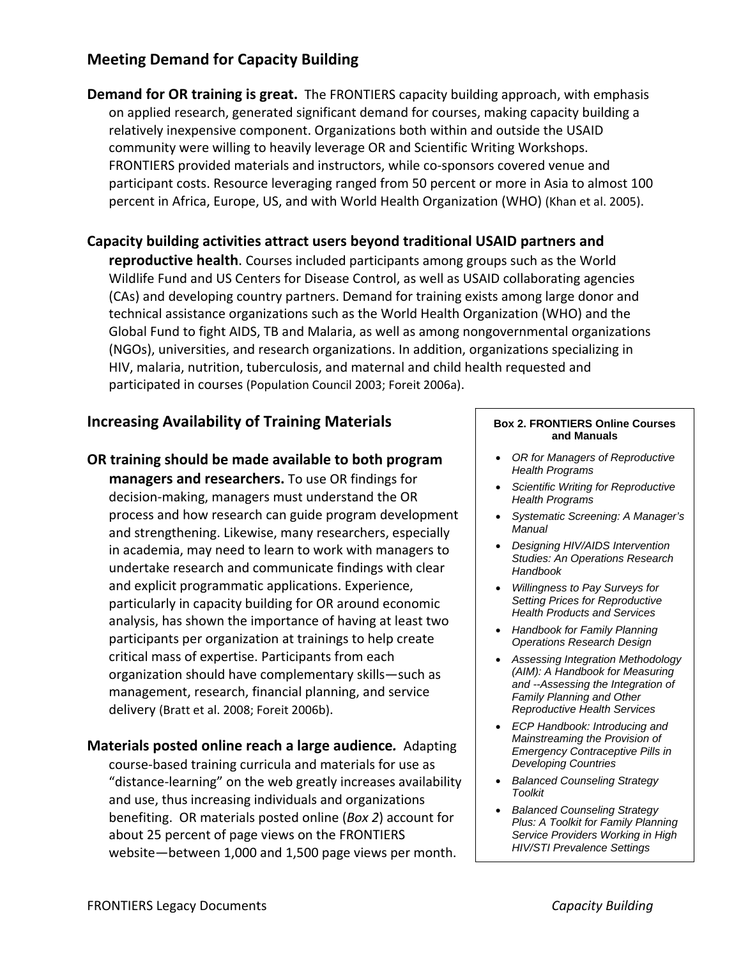### **Meeting Demand for Capacity Building**

**Demand for OR training is great.** The FRONTIERS capacity building approach, with emphasis on applied research, generated significant demand for courses, making capacity building a relatively inexpensive component. Organizations both within and outside the USAID community were willing to heavily leverage OR and Scientific Writing Workshops. FRONTIERS provided materials and instructors, while co‐sponsors covered venue and participant costs. Resource leveraging ranged from 50 percent or more in Asia to almost 100 percent in Africa, Europe, US, and with World Health Organization (WHO) (Khan et al. 2005).

**Capacity building activities attract users beyond traditional USAID partners and reproductive health**. Courses included participants among groups such as the World Wildlife Fund and US Centers for Disease Control, as well as USAID collaborating agencies (CAs) and developing country partners. Demand for training exists among large donor and technical assistance organizations such as the World Health Organization (WHO) and the Global Fund to fight AIDS, TB and Malaria, as well as among nongovernmental organizations (NGOs), universities, and research organizations. In addition, organizations specializing in HIV, malaria, nutrition, tuberculosis, and maternal and child health requested and participated in courses (Population Council 2003; Foreit 2006a).

### **Increasing Availability of Training Materials**

**OR training should be made available to both program managers and researchers.** To use OR findings for decision‐making, managers must understand the OR process and how research can guide program development and strengthening. Likewise, many researchers, especially in academia, may need to learn to work with managers to undertake research and communicate findings with clear and explicit programmatic applications. Experience, particularly in capacity building for OR around economic analysis, has shown the importance of having at least two participants per organization at trainings to help create critical mass of expertise. Participants from each organization should have complementary skills—such as management, research, financial planning, and service delivery (Bratt et al. 2008; Foreit 2006b).

**Materials posted online reach a large audience***.* Adapting course‐based training curricula and materials for use as "distance‐learning" on the web greatly increases availability and use, thus increasing individuals and organizations benefiting. OR materials posted online (*Box 2*) account for about 25 percent of page views on the FRONTIERS website—between 1,000 and 1,500 page views per month.

#### **Box 2. FRONTIERS Online Courses and Manuals**

- *OR for Managers of Reproductive Health Programs*
- *Scientific Writing for Reproductive Health Programs*
- *Systematic Screening: A Manager's Manual*
- *Designing HIV/AIDS Intervention Studies: An Operations Research Handbook*
- *Willingness to Pay Surveys for Setting Prices for Reproductive Health Products and Services*
- *Handbook for Family Planning Operations Research Design*
- *Assessing Integration Methodology (AIM): A Handbook for Measuring and --Assessing the Integration of Family Planning and Other Reproductive Health Services*
- *ECP Handbook: Introducing and Mainstreaming the Provision of Emergency Contraceptive Pills in Developing Countries*
- *Balanced Counseling Strategy Toolkit*
- *Balanced Counseling Strategy Plus: A Toolkit for Family Planning Service Providers Working in High HIV/STI Prevalence Settings*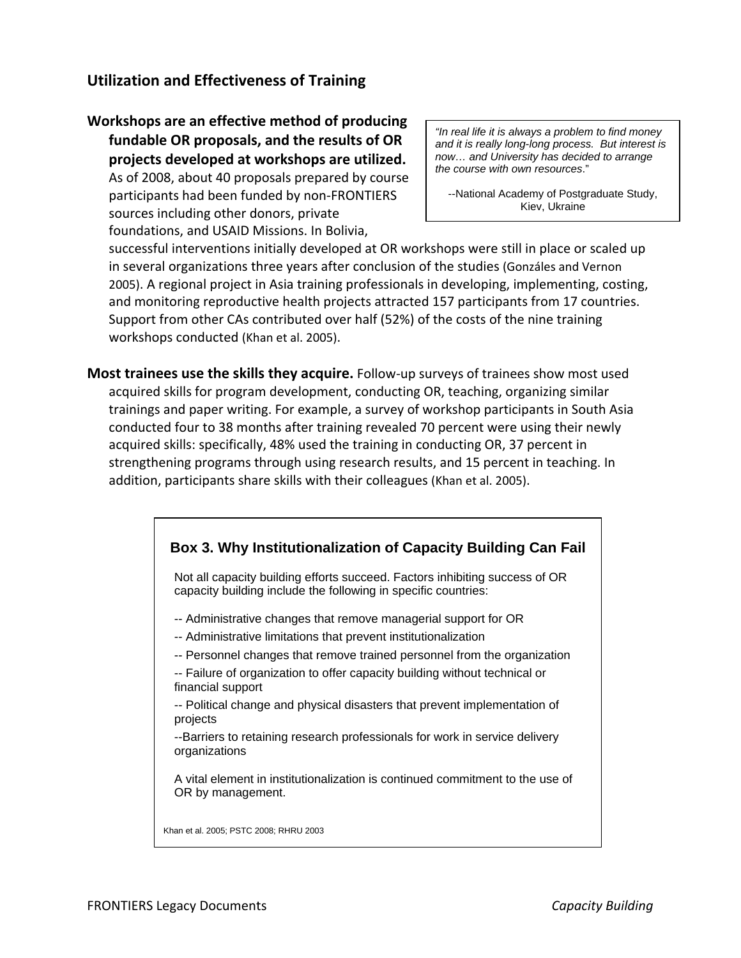### **Utilization and Effectiveness of Training**

**Workshops are an effective method of producing fundable OR proposals, and the results of OR projects developed at workshops are utilized.** As of 2008, about 40 proposals prepared by course participants had been funded by non‐FRONTIERS sources including other donors, private foundations, and USAID Missions. In Bolivia,

*"In real life it is always a problem to find money and it is really long-long process. But interest is now… and University has decided to arrange the course with own resources*."

--National Academy of Postgraduate Study, Kiev, Ukraine

successful interventions initially developed at OR workshops were still in place or scaled up in several organizations three years after conclusion of the studies (Gonzáles and Vernon 2005). A regional project in Asia training professionals in developing, implementing, costing, and monitoring reproductive health projects attracted 157 participants from 17 countries. Support from other CAs contributed over half (52%) of the costs of the nine training workshops conducted (Khan et al. 2005).

**Most trainees use the skills they acquire.** Follow‐up surveys of trainees show most used acquired skills for program development, conducting OR, teaching, organizing similar trainings and paper writing. For example, a survey of workshop participants in South Asia conducted four to 38 months after training revealed 70 percent were using their newly acquired skills: specifically, 48% used the training in conducting OR, 37 percent in strengthening programs through using research results, and 15 percent in teaching. In addition, participants share skills with their colleagues (Khan et al. 2005).

## **Box 3. Why Institutionalization of Capacity Building Can Fail**  Not all capacity building efforts succeed. Factors inhibiting success of OR capacity building include the following in specific countries: -- Administrative changes that remove managerial support for OR -- Administrative limitations that prevent institutionalization -- Personnel changes that remove trained personnel from the organization -- Failure of organization to offer capacity building without technical or financial support -- Political change and physical disasters that prevent implementation of projects --Barriers to retaining research professionals for work in service delivery organizations A vital element in institutionalization is continued commitment to the use of OR by management. Khan et al. 2005; PSTC 2008; RHRU 2003